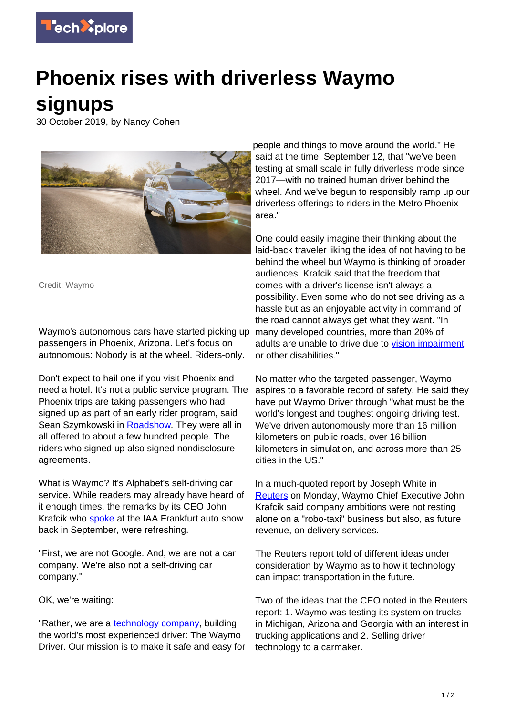

## **Phoenix rises with driverless Waymo signups**

30 October 2019, by Nancy Cohen



Credit: Waymo

Waymo's autonomous cars have started picking up many developed countries, more than 20% of passengers in Phoenix, Arizona. Let's focus on autonomous: Nobody is at the wheel. Riders-only.

Don't expect to hail one if you visit Phoenix and need a hotel. It's not a public service program. The Phoenix trips are taking passengers who had signed up as part of an early rider program, said Sean Szymkowski in [Roadshow](https://www.cnet.com/roadshow/news/waymo-self-driving-cars-human-backup/). They were all in all offered to about a few hundred people. The riders who signed up also signed nondisclosure agreements.

What is Waymo? It's Alphabet's self-driving car service. While readers may already have heard of it enough times, the remarks by its CEO John Krafcik who [spoke](https://blog.waymo.com/2019/09/waymo-iaa-frankfurt-2019.html) at the IAA Frankfurt auto show back in September, were refreshing.

"First, we are not Google. And, we are not a car company. We're also not a self-driving car company."

OK, we're waiting:

"Rather, we are a **technology company**, building the world's most experienced driver: The Waymo Driver. Our mission is to make it safe and easy for people and things to move around the world." He said at the time, September 12, that "we've been testing at small scale in fully driverless mode since 2017—with no trained human driver behind the wheel. And we've begun to responsibly ramp up our driverless offerings to riders in the Metro Phoenix area."

One could easily imagine their thinking about the laid-back traveler liking the idea of not having to be behind the wheel but Waymo is thinking of broader audiences. Krafcik said that the freedom that comes with a driver's license isn't always a possibility. Even some who do not see driving as a hassle but as an enjoyable activity in command of the road cannot always get what they want. "In adults are unable to drive due to [vision impairment](https://techxplore.com/tags/vision+impairment/) or other disabilities."

No matter who the targeted passenger, Waymo aspires to a favorable record of safety. He said they have put Waymo Driver through "what must be the world's longest and toughest ongoing driving test. We've driven autonomously more than 16 million kilometers on public roads, over 16 billion kilometers in simulation, and across more than 25 cities in the US."

In a much-quoted report by Joseph White in [Reuters](https://www.reuters.com/article/us-autos-selfdriving-waymo/waymo-tests-rider-only-service-and-looks-beyond-robo-taxis-idUSKBN1X71U7) on Monday, Waymo Chief Executive John Krafcik said company ambitions were not resting alone on a "robo-taxi" business but also, as future revenue, on delivery services.

The Reuters report told of different ideas under consideration by Waymo as to how it technology can impact transportation in the future.

Two of the ideas that the CEO noted in the Reuters report: 1. Waymo was testing its system on trucks in Michigan, Arizona and Georgia with an interest in trucking applications and 2. Selling driver technology to a carmaker.